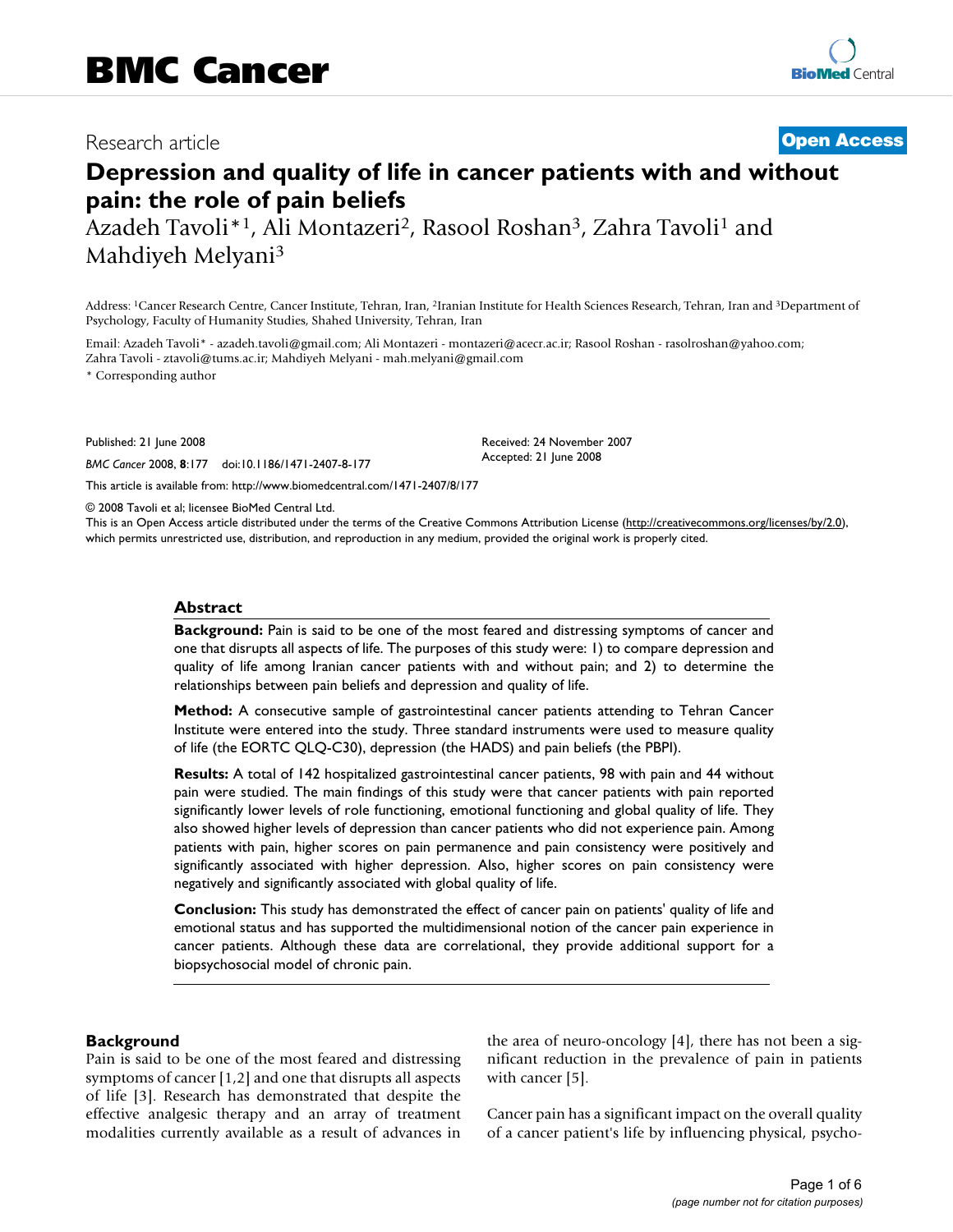# Research article **[Open Access](http://www.biomedcentral.com/info/about/charter/)**

# **Depression and quality of life in cancer patients with and without pain: the role of pain beliefs**

Azadeh Tavoli\*<sup>1</sup>, Ali Montazeri<sup>2</sup>, Rasool Roshan<sup>3</sup>, Zahra Tavoli<sup>1</sup> and Mahdiyeh Melyani3

Address: 1Cancer Research Centre, Cancer Institute, Tehran, Iran, 2Iranian Institute for Health Sciences Research, Tehran, Iran and 3Department of Psychology, Faculty of Humanity Studies, Shahed University, Tehran, Iran

Email: Azadeh Tavoli\* - azadeh.tavoli@gmail.com; Ali Montazeri - montazeri@acecr.ac.ir; Rasool Roshan - rasolroshan@yahoo.com; Zahra Tavoli - ztavoli@tums.ac.ir; Mahdiyeh Melyani - mah.melyani@gmail.com

\* Corresponding author

Published: 21 June 2008

*BMC Cancer* 2008, **8**:177 doi:10.1186/1471-2407-8-177

[This article is available from: http://www.biomedcentral.com/1471-2407/8/177](http://www.biomedcentral.com/1471-2407/8/177)

© 2008 Tavoli et al; licensee BioMed Central Ltd.

This is an Open Access article distributed under the terms of the Creative Commons Attribution License [\(http://creativecommons.org/licenses/by/2.0\)](http://creativecommons.org/licenses/by/2.0), which permits unrestricted use, distribution, and reproduction in any medium, provided the original work is properly cited.

Received: 24 November 2007 Accepted: 21 June 2008

#### **Abstract**

**Background:** Pain is said to be one of the most feared and distressing symptoms of cancer and one that disrupts all aspects of life. The purposes of this study were: 1) to compare depression and quality of life among Iranian cancer patients with and without pain; and 2) to determine the relationships between pain beliefs and depression and quality of life.

**Method:** A consecutive sample of gastrointestinal cancer patients attending to Tehran Cancer Institute were entered into the study. Three standard instruments were used to measure quality of life (the EORTC QLQ-C30), depression (the HADS) and pain beliefs (the PBPI).

**Results:** A total of 142 hospitalized gastrointestinal cancer patients, 98 with pain and 44 without pain were studied. The main findings of this study were that cancer patients with pain reported significantly lower levels of role functioning, emotional functioning and global quality of life. They also showed higher levels of depression than cancer patients who did not experience pain. Among patients with pain, higher scores on pain permanence and pain consistency were positively and significantly associated with higher depression. Also, higher scores on pain consistency were negatively and significantly associated with global quality of life.

**Conclusion:** This study has demonstrated the effect of cancer pain on patients' quality of life and emotional status and has supported the multidimensional notion of the cancer pain experience in cancer patients. Although these data are correlational, they provide additional support for a biopsychosocial model of chronic pain.

#### **Background**

Pain is said to be one of the most feared and distressing symptoms of cancer [1,2] and one that disrupts all aspects of life [3]. Research has demonstrated that despite the effective analgesic therapy and an array of treatment modalities currently available as a result of advances in the area of neuro-oncology [4], there has not been a significant reduction in the prevalence of pain in patients with cancer [5].

Cancer pain has a significant impact on the overall quality of a cancer patient's life by influencing physical, psycho-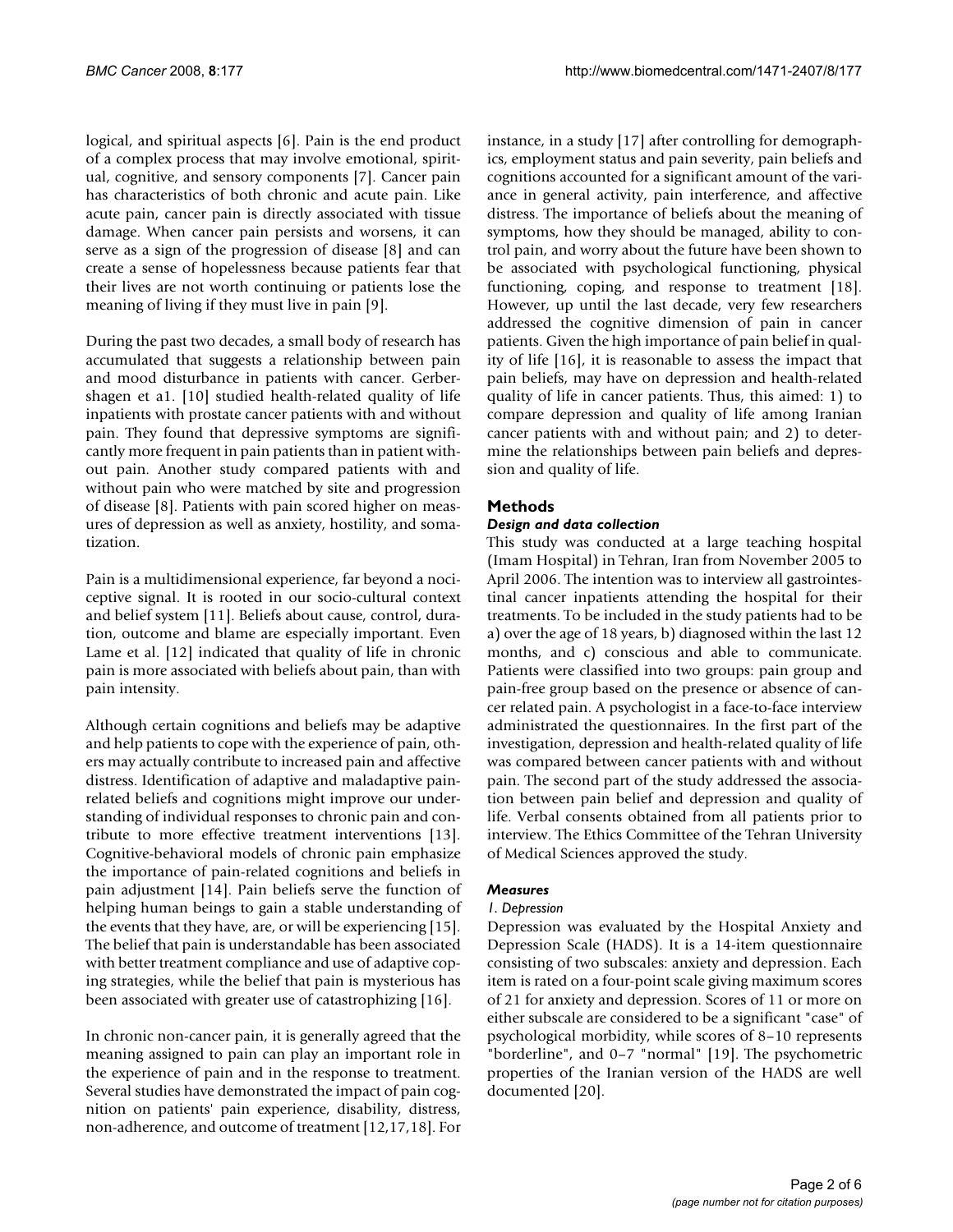logical, and spiritual aspects [6]. Pain is the end product of a complex process that may involve emotional, spiritual, cognitive, and sensory components [7]. Cancer pain has characteristics of both chronic and acute pain. Like acute pain, cancer pain is directly associated with tissue damage. When cancer pain persists and worsens, it can serve as a sign of the progression of disease [8] and can create a sense of hopelessness because patients fear that their lives are not worth continuing or patients lose the meaning of living if they must live in pain [9].

During the past two decades, a small body of research has accumulated that suggests a relationship between pain and mood disturbance in patients with cancer. Gerbershagen et a1. [10] studied health-related quality of life inpatients with prostate cancer patients with and without pain. They found that depressive symptoms are significantly more frequent in pain patients than in patient without pain. Another study compared patients with and without pain who were matched by site and progression of disease [8]. Patients with pain scored higher on measures of depression as well as anxiety, hostility, and somatization.

Pain is a multidimensional experience, far beyond a nociceptive signal. It is rooted in our socio-cultural context and belief system [11]. Beliefs about cause, control, duration, outcome and blame are especially important. Even Lame et al. [12] indicated that quality of life in chronic pain is more associated with beliefs about pain, than with pain intensity.

Although certain cognitions and beliefs may be adaptive and help patients to cope with the experience of pain, others may actually contribute to increased pain and affective distress. Identification of adaptive and maladaptive painrelated beliefs and cognitions might improve our understanding of individual responses to chronic pain and contribute to more effective treatment interventions [13]. Cognitive-behavioral models of chronic pain emphasize the importance of pain-related cognitions and beliefs in pain adjustment [14]. Pain beliefs serve the function of helping human beings to gain a stable understanding of the events that they have, are, or will be experiencing [15]. The belief that pain is understandable has been associated with better treatment compliance and use of adaptive coping strategies, while the belief that pain is mysterious has been associated with greater use of catastrophizing [16].

In chronic non-cancer pain, it is generally agreed that the meaning assigned to pain can play an important role in the experience of pain and in the response to treatment. Several studies have demonstrated the impact of pain cognition on patients' pain experience, disability, distress, non-adherence, and outcome of treatment [12,17,18]. For instance, in a study [17] after controlling for demographics, employment status and pain severity, pain beliefs and cognitions accounted for a significant amount of the variance in general activity, pain interference, and affective distress. The importance of beliefs about the meaning of symptoms, how they should be managed, ability to control pain, and worry about the future have been shown to be associated with psychological functioning, physical functioning, coping, and response to treatment [18]. However, up until the last decade, very few researchers addressed the cognitive dimension of pain in cancer patients. Given the high importance of pain belief in quality of life [16], it is reasonable to assess the impact that pain beliefs, may have on depression and health-related quality of life in cancer patients. Thus, this aimed: 1) to compare depression and quality of life among Iranian cancer patients with and without pain; and 2) to determine the relationships between pain beliefs and depression and quality of life.

# **Methods**

## *Design and data collection*

This study was conducted at a large teaching hospital (Imam Hospital) in Tehran, Iran from November 2005 to April 2006. The intention was to interview all gastrointestinal cancer inpatients attending the hospital for their treatments. To be included in the study patients had to be a) over the age of 18 years, b) diagnosed within the last 12 months, and c) conscious and able to communicate. Patients were classified into two groups: pain group and pain-free group based on the presence or absence of cancer related pain. A psychologist in a face-to-face interview administrated the questionnaires. In the first part of the investigation, depression and health-related quality of life was compared between cancer patients with and without pain. The second part of the study addressed the association between pain belief and depression and quality of life. Verbal consents obtained from all patients prior to interview. The Ethics Committee of the Tehran University of Medical Sciences approved the study.

#### *Measures*

#### *1. Depression*

Depression was evaluated by the Hospital Anxiety and Depression Scale (HADS). It is a 14-item questionnaire consisting of two subscales: anxiety and depression. Each item is rated on a four-point scale giving maximum scores of 21 for anxiety and depression. Scores of 11 or more on either subscale are considered to be a significant "case" of psychological morbidity, while scores of 8–10 represents "borderline", and 0–7 "normal" [19]. The psychometric properties of the Iranian version of the HADS are well documented [20].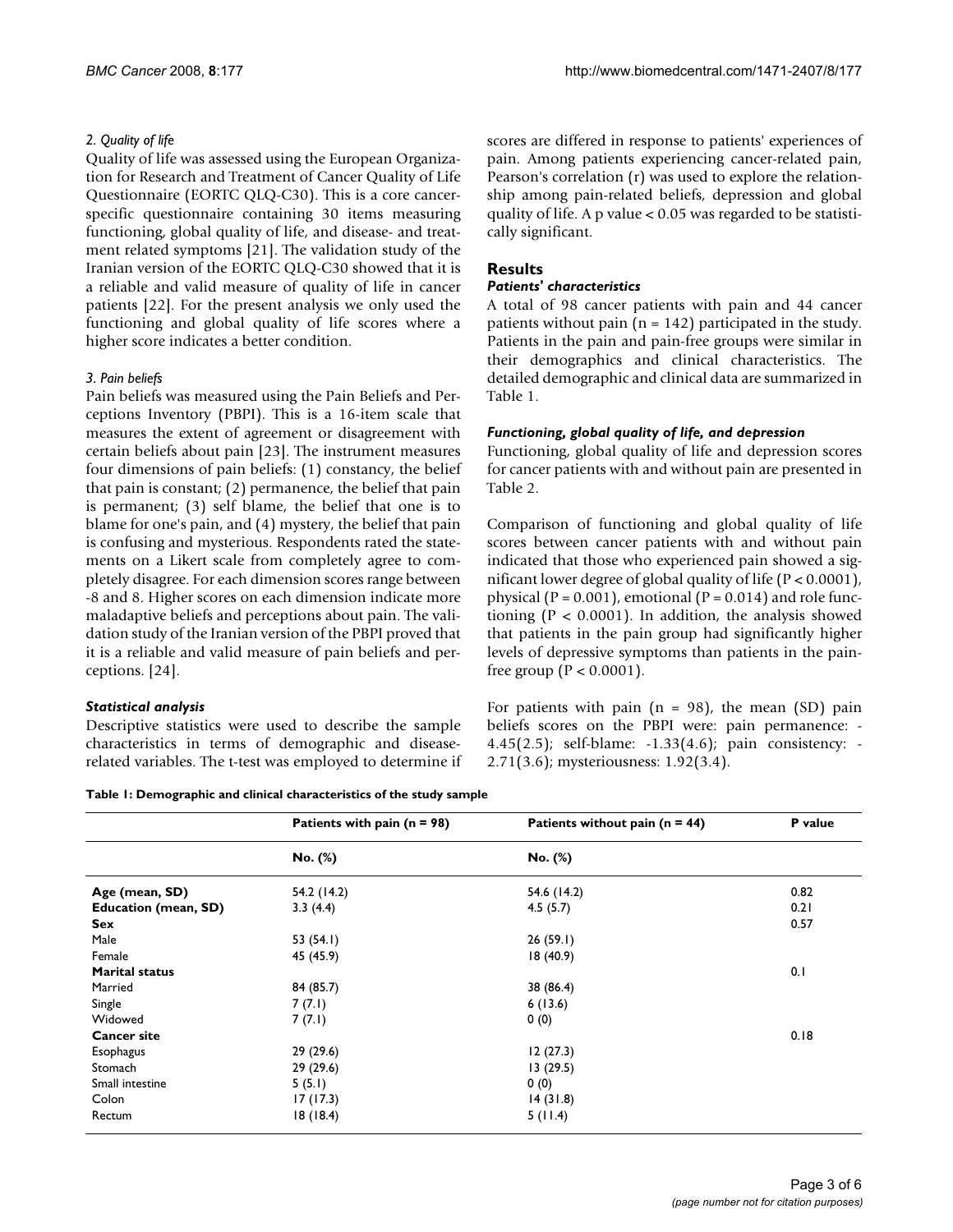#### *2. Quality of life*

Quality of life was assessed using the European Organization for Research and Treatment of Cancer Quality of Life Questionnaire (EORTC QLQ-C30). This is a core cancerspecific questionnaire containing 30 items measuring functioning, global quality of life, and disease- and treatment related symptoms [21]. The validation study of the Iranian version of the EORTC QLQ-C30 showed that it is a reliable and valid measure of quality of life in cancer patients [22]. For the present analysis we only used the functioning and global quality of life scores where a higher score indicates a better condition.

#### *3. Pain beliefs*

Pain beliefs was measured using the Pain Beliefs and Perceptions Inventory (PBPI). This is a 16-item scale that measures the extent of agreement or disagreement with certain beliefs about pain [23]. The instrument measures four dimensions of pain beliefs: (1) constancy, the belief that pain is constant; (2) permanence, the belief that pain is permanent; (3) self blame, the belief that one is to blame for one's pain, and (4) mystery, the belief that pain is confusing and mysterious. Respondents rated the statements on a Likert scale from completely agree to completely disagree. For each dimension scores range between -8 and 8. Higher scores on each dimension indicate more maladaptive beliefs and perceptions about pain. The validation study of the Iranian version of the PBPI proved that it is a reliable and valid measure of pain beliefs and perceptions. [24].

#### *Statistical analysis*

Descriptive statistics were used to describe the sample characteristics in terms of demographic and diseaserelated variables. The t-test was employed to determine if scores are differed in response to patients' experiences of pain. Among patients experiencing cancer-related pain, Pearson's correlation (r) was used to explore the relationship among pain-related beliefs, depression and global quality of life. A p value < 0.05 was regarded to be statistically significant.

# **Results**

#### *Patients' characteristics*

A total of 98 cancer patients with pain and 44 cancer patients without pain ( $n = 142$ ) participated in the study. Patients in the pain and pain-free groups were similar in their demographics and clinical characteristics. The detailed demographic and clinical data are summarized in Table 1.

## *Functioning, global quality of life, and depression*

Functioning, global quality of life and depression scores for cancer patients with and without pain are presented in Table 2.

Comparison of functioning and global quality of life scores between cancer patients with and without pain indicated that those who experienced pain showed a significant lower degree of global quality of life (P < 0.0001), physical ( $P = 0.001$ ), emotional ( $P = 0.014$ ) and role functioning ( $P < 0.0001$ ). In addition, the analysis showed that patients in the pain group had significantly higher levels of depressive symptoms than patients in the painfree group ( $P < 0.0001$ ).

For patients with pain  $(n = 98)$ , the mean  $(SD)$  pain beliefs scores on the PBPI were: pain permanence: - 4.45(2.5); self-blame: -1.33(4.6); pain consistency: - 2.71(3.6); mysteriousness: 1.92(3.4).

**Table 1: Demographic and clinical characteristics of the study sample**

|                             | Patients with pain $(n = 98)$ | Patients without pain ( $n = 44$ ) | P value |
|-----------------------------|-------------------------------|------------------------------------|---------|
|                             | No. (%)                       | No. (%)                            |         |
| Age (mean, SD)              | 54.2 (14.2)                   | 54.6 (14.2)                        | 0.82    |
| <b>Education (mean, SD)</b> | 3.3(4.4)                      | 4.5(5.7)                           | 0.21    |
| Sex                         |                               |                                    | 0.57    |
| Male                        | 53 $(54.1)$                   | 26(59.1)                           |         |
| Female                      | 45 (45.9)                     | 18(40.9)                           |         |
| <b>Marital status</b>       |                               |                                    | 0.1     |
| Married                     | 84 (85.7)                     | 38 (86.4)                          |         |
| Single                      | 7(7.1)                        | 6(13.6)                            |         |
| Widowed                     | 7(7.1)                        | 0(0)                               |         |
| <b>Cancer site</b>          |                               |                                    | 0.18    |
| <b>Esophagus</b>            | 29 (29.6)                     | 12(27.3)                           |         |
| Stomach                     | 29 (29.6)                     | 13(29.5)                           |         |
| Small intestine             | 5(5.1)                        | 0(0)                               |         |
| Colon                       | 17(17.3)                      | 14(31.8)                           |         |
| Rectum                      | 18(18.4)                      | 5(11.4)                            |         |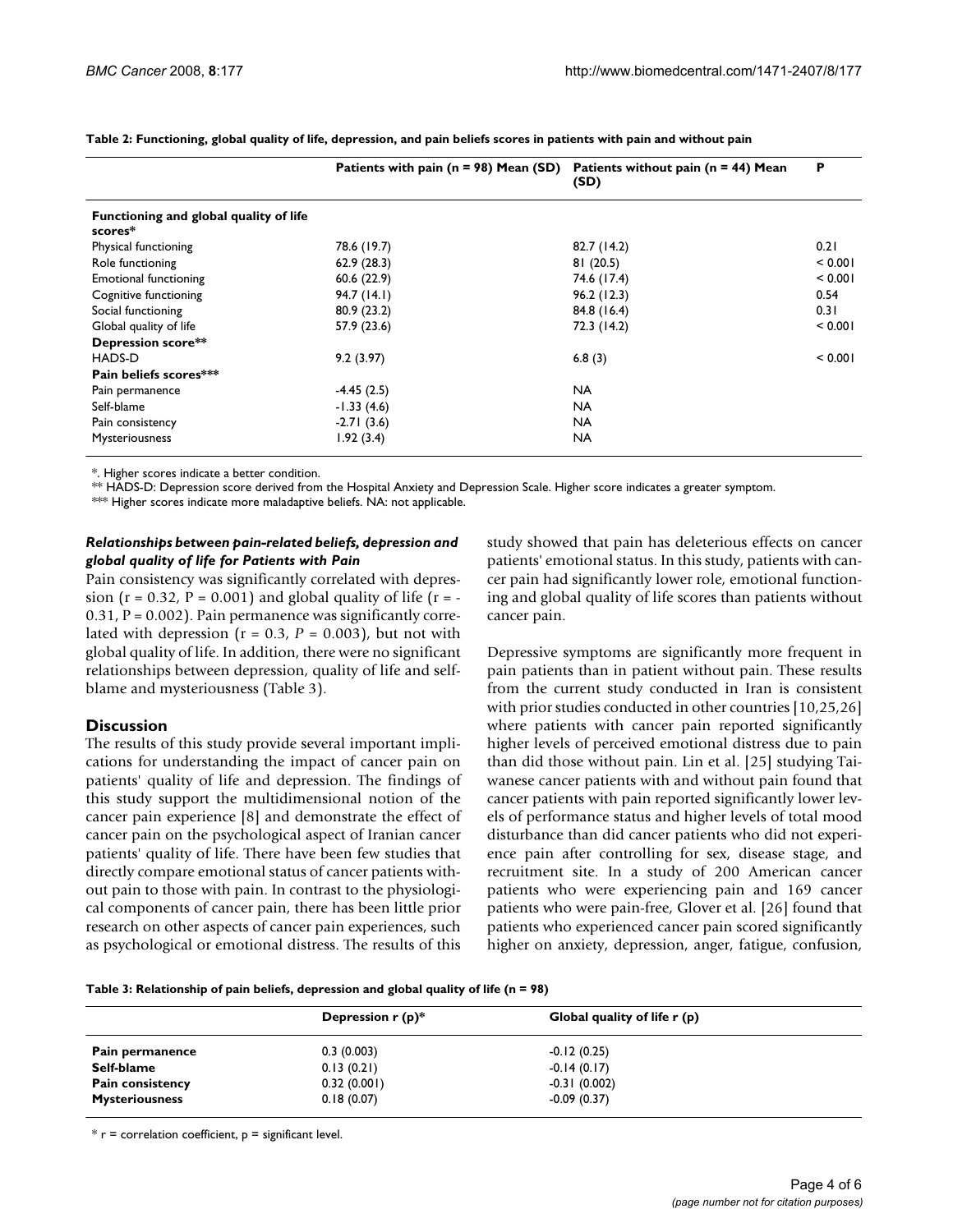|                                                   | Patients with pain ( $n = 98$ ) Mean (SD) | Patients without pain ( $n = 44$ ) Mean<br>(SD) | P       |
|---------------------------------------------------|-------------------------------------------|-------------------------------------------------|---------|
| Functioning and global quality of life<br>scores* |                                           |                                                 |         |
| Physical functioning                              | 78.6 (19.7)                               | 82.7 (14.2)                                     | 0.21    |
| Role functioning                                  | 62.9(28.3)                                | 81(20.5)                                        | < 0.001 |
| <b>Emotional functioning</b>                      | 60.6(22.9)                                | 74.6 (17.4)                                     | < 0.001 |
| Cognitive functioning                             | 94.7(14.1)                                | 96.2(12.3)                                      | 0.54    |
| Social functioning                                | 80.9(23.2)                                | 84.8 (16.4)                                     | 0.31    |
| Global quality of life                            | 57.9 (23.6)                               | 72.3 (14.2)                                     | < 0.001 |
| Depression score**                                |                                           |                                                 |         |
| HADS-D                                            | 9.2(3.97)                                 | 6.8(3)                                          | < 0.001 |
| Pain beliefs scores***                            |                                           |                                                 |         |
| Pain permanence                                   | $-4.45(2.5)$                              | <b>NA</b>                                       |         |
| Self-blame                                        | $-1.33(4.6)$                              | <b>NA</b>                                       |         |
| Pain consistency                                  | $-2.71(3.6)$                              | <b>NA</b>                                       |         |
| Mysteriousness                                    | 1.92(3.4)                                 | <b>NA</b>                                       |         |

**Table 2: Functioning, global quality of life, depression, and pain beliefs scores in patients with pain and without pain**

\*. Higher scores indicate a better condition.

\*\* HADS-D: Depression score derived from the Hospital Anxiety and Depression Scale. Higher score indicates a greater symptom.

\*\*\* Higher scores indicate more maladaptive beliefs. NA: not applicable.

#### *Relationships between pain-related beliefs, depression and global quality of life for Patients with Pain*

Pain consistency was significantly correlated with depression ( $r = 0.32$ ,  $P = 0.001$ ) and global quality of life ( $r = 0.31$ ,  $P = 0.002$ ). Pain permanence was significantly correlated with depression  $(r = 0.3, P = 0.003)$ , but not with global quality of life. In addition, there were no significant relationships between depression, quality of life and selfblame and mysteriousness (Table 3).

#### **Discussion**

The results of this study provide several important implications for understanding the impact of cancer pain on patients' quality of life and depression. The findings of this study support the multidimensional notion of the cancer pain experience [8] and demonstrate the effect of cancer pain on the psychological aspect of Iranian cancer patients' quality of life. There have been few studies that directly compare emotional status of cancer patients without pain to those with pain. In contrast to the physiological components of cancer pain, there has been little prior research on other aspects of cancer pain experiences, such as psychological or emotional distress. The results of this study showed that pain has deleterious effects on cancer patients' emotional status. In this study, patients with cancer pain had significantly lower role, emotional functioning and global quality of life scores than patients without cancer pain.

Depressive symptoms are significantly more frequent in pain patients than in patient without pain. These results from the current study conducted in Iran is consistent with prior studies conducted in other countries [10,25,26] where patients with cancer pain reported significantly higher levels of perceived emotional distress due to pain than did those without pain. Lin et al. [25] studying Taiwanese cancer patients with and without pain found that cancer patients with pain reported significantly lower levels of performance status and higher levels of total mood disturbance than did cancer patients who did not experience pain after controlling for sex, disease stage, and recruitment site. In a study of 200 American cancer patients who were experiencing pain and 169 cancer patients who were pain-free, Glover et al. [26] found that patients who experienced cancer pain scored significantly higher on anxiety, depression, anger, fatigue, confusion,

**Table 3: Relationship of pain beliefs, depression and global quality of life (n = 98)**

|                       | Depression $r(p)^*$ | Global quality of life r (p) |  |
|-----------------------|---------------------|------------------------------|--|
| Pain permanence       | 0.3(0.003)          | $-0.12(0.25)$                |  |
| Self-blame            | 0.13(0.21)          | $-0.14(0.17)$                |  |
| Pain consistency      | 0.32(0.001)         | $-0.31(0.002)$               |  |
| <b>Mysteriousness</b> | 0.18(0.07)          | $-0.09(0.37)$                |  |

 $*$  r = correlation coefficient,  $p =$  significant level.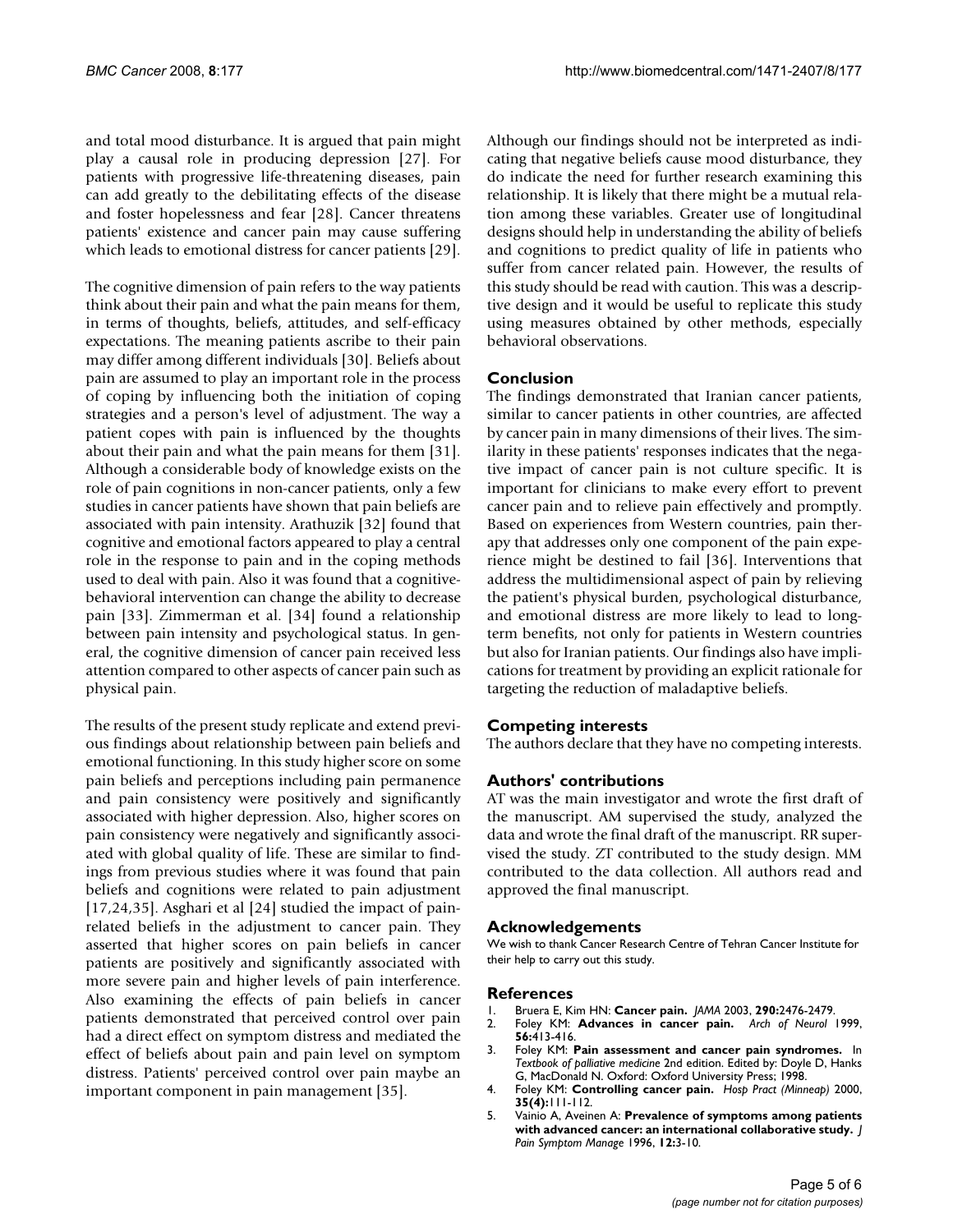and total mood disturbance. It is argued that pain might play a causal role in producing depression [27]. For patients with progressive life-threatening diseases, pain can add greatly to the debilitating effects of the disease and foster hopelessness and fear [28]. Cancer threatens patients' existence and cancer pain may cause suffering which leads to emotional distress for cancer patients [29].

The cognitive dimension of pain refers to the way patients think about their pain and what the pain means for them, in terms of thoughts, beliefs, attitudes, and self-efficacy expectations. The meaning patients ascribe to their pain may differ among different individuals [30]. Beliefs about pain are assumed to play an important role in the process of coping by influencing both the initiation of coping strategies and a person's level of adjustment. The way a patient copes with pain is influenced by the thoughts about their pain and what the pain means for them [31]. Although a considerable body of knowledge exists on the role of pain cognitions in non-cancer patients, only a few studies in cancer patients have shown that pain beliefs are associated with pain intensity. Arathuzik [32] found that cognitive and emotional factors appeared to play a central role in the response to pain and in the coping methods used to deal with pain. Also it was found that a cognitivebehavioral intervention can change the ability to decrease pain [33]. Zimmerman et al. [34] found a relationship between pain intensity and psychological status. In general, the cognitive dimension of cancer pain received less attention compared to other aspects of cancer pain such as physical pain.

The results of the present study replicate and extend previous findings about relationship between pain beliefs and emotional functioning. In this study higher score on some pain beliefs and perceptions including pain permanence and pain consistency were positively and significantly associated with higher depression. Also, higher scores on pain consistency were negatively and significantly associated with global quality of life. These are similar to findings from previous studies where it was found that pain beliefs and cognitions were related to pain adjustment [17,24,35]. Asghari et al [24] studied the impact of painrelated beliefs in the adjustment to cancer pain. They asserted that higher scores on pain beliefs in cancer patients are positively and significantly associated with more severe pain and higher levels of pain interference. Also examining the effects of pain beliefs in cancer patients demonstrated that perceived control over pain had a direct effect on symptom distress and mediated the effect of beliefs about pain and pain level on symptom distress. Patients' perceived control over pain maybe an important component in pain management [35].

Although our findings should not be interpreted as indicating that negative beliefs cause mood disturbance, they do indicate the need for further research examining this relationship. It is likely that there might be a mutual relation among these variables. Greater use of longitudinal designs should help in understanding the ability of beliefs and cognitions to predict quality of life in patients who suffer from cancer related pain. However, the results of this study should be read with caution. This was a descriptive design and it would be useful to replicate this study using measures obtained by other methods, especially behavioral observations.

#### **Conclusion**

The findings demonstrated that Iranian cancer patients, similar to cancer patients in other countries, are affected by cancer pain in many dimensions of their lives. The similarity in these patients' responses indicates that the negative impact of cancer pain is not culture specific. It is important for clinicians to make every effort to prevent cancer pain and to relieve pain effectively and promptly. Based on experiences from Western countries, pain therapy that addresses only one component of the pain experience might be destined to fail [36]. Interventions that address the multidimensional aspect of pain by relieving the patient's physical burden, psychological disturbance, and emotional distress are more likely to lead to longterm benefits, not only for patients in Western countries but also for Iranian patients. Our findings also have implications for treatment by providing an explicit rationale for targeting the reduction of maladaptive beliefs.

# **Competing interests**

The authors declare that they have no competing interests.

#### **Authors' contributions**

AT was the main investigator and wrote the first draft of the manuscript. AM supervised the study, analyzed the data and wrote the final draft of the manuscript. RR supervised the study. ZT contributed to the study design. MM contributed to the data collection. All authors read and approved the final manuscript.

#### **Acknowledgements**

We wish to thank Cancer Research Centre of Tehran Cancer Institute for their help to carry out this study.

#### **References**

- 1. Bruera E, Kim HN: **[Cancer pain.](http://www.ncbi.nlm.nih.gov/entrez/query.fcgi?cmd=Retrieve&db=PubMed&dopt=Abstract&list_uids=14612485)** *JAMA* 2003, **290:**2476-2479.
- 2. Foley KM: **Advances in cancer pain.** *Arch of Neurol* 1999, **56:**413-416.
- 3. Foley KM: **Pain assessment and cancer pain syndromes.** In *Textbook of palliative medicine* 2nd edition. Edited by: Doyle D, Hanks G, MacDonald N. Oxford: Oxford University Press; 1998.
- 4. Foley KM: **[Controlling cancer pain.](http://www.ncbi.nlm.nih.gov/entrez/query.fcgi?cmd=Retrieve&db=PubMed&dopt=Abstract&list_uids=10780186)** *Hosp Pract (Minneap)* 2000, **35(4):**111-112.
- 5. Vainio A, Aveinen A: **[Prevalence of symptoms among patients](http://www.ncbi.nlm.nih.gov/entrez/query.fcgi?cmd=Retrieve&db=PubMed&dopt=Abstract&list_uids=8718910) [with advanced cancer: an international collaborative study.](http://www.ncbi.nlm.nih.gov/entrez/query.fcgi?cmd=Retrieve&db=PubMed&dopt=Abstract&list_uids=8718910)** *J Pain Symptom Manage* 1996, **12:**3-10.